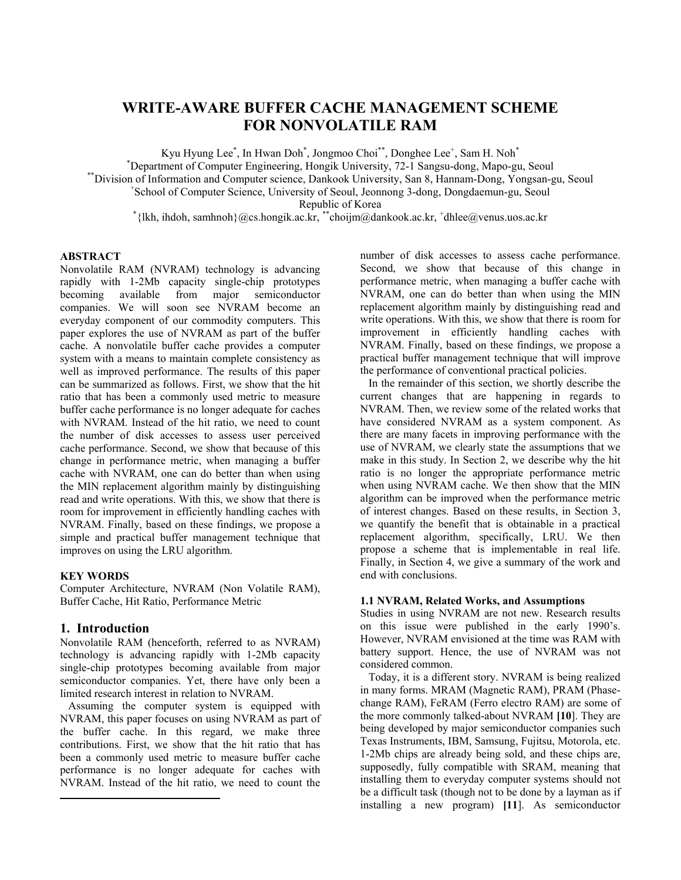# **WRITE-AWARE BUFFER CACHE MANAGEMENT SCHEME FOR NONVOLATILE RAM**

Kyu Hyung Lee<sup>\*</sup>, In Hwan Doh<sup>\*</sup>, Jongmoo Choi<sup>\*\*</sup>, Donghee Lee<sup>+</sup>, Sam H. Noh<sup>\*</sup>

\*Department of Computer Engineering, Hongik University, 72-1 Sangsu-dong, Mapo-gu, Seoul

\*\*Division of Information and Computer science, Dankook University, San 8, Hannam-Dong, Yongsan-gu, Seoul

School of Computer Science, University of Seoul, Jeonnong 3-dong, Dongdaemun-gu, Seoul

Republic of Korea<br>Kepublic of Korea \*{lkh, ihdoh, samhnoh}@cs.hongik.ac.kr, \*\*choijm@dankook.ac.kr, \*dhlee@venus.uos.ac.kr

### **ABSTRACT**

Nonvolatile RAM (NVRAM) technology is advancing rapidly with 1-2Mb capacity single-chip prototypes becoming available from major semiconductor companies. We will soon see NVRAM become an everyday component of our commodity computers. This paper explores the use of NVRAM as part of the buffer cache. A nonvolatile buffer cache provides a computer system with a means to maintain complete consistency as well as improved performance. The results of this paper can be summarized as follows. First, we show that the hit ratio that has been a commonly used metric to measure buffer cache performance is no longer adequate for caches with NVRAM. Instead of the hit ratio, we need to count the number of disk accesses to assess user perceived cache performance. Second, we show that because of this change in performance metric, when managing a buffer cache with NVRAM, one can do better than when using the MIN replacement algorithm mainly by distinguishing read and write operations. With this, we show that there is room for improvement in efficiently handling caches with NVRAM. Finally, based on these findings, we propose a simple and practical buffer management technique that improves on using the LRU algorithm.

### **KEY WORDS**

Computer Architecture, NVRAM (Non Volatile RAM), Buffer Cache, Hit Ratio, Performance Metric

### **1. Introduction**

 $\overline{a}$ 

Nonvolatile RAM (henceforth, referred to as NVRAM) technology is advancing rapidly with 1-2Mb capacity single-chip prototypes becoming available from major semiconductor companies. Yet, there have only been a limited research interest in relation to NVRAM.

Assuming the computer system is equipped with NVRAM, this paper focuses on using NVRAM as part of the buffer cache. In this regard, we make three contributions. First, we show that the hit ratio that has been a commonly used metric to measure buffer cache performance is no longer adequate for caches with NVRAM. Instead of the hit ratio, we need to count the

number of disk accesses to assess cache performance. Second, we show that because of this change in performance metric, when managing a buffer cache with NVRAM, one can do better than when using the MIN replacement algorithm mainly by distinguishing read and write operations. With this, we show that there is room for improvement in efficiently handling caches with NVRAM. Finally, based on these findings, we propose a practical buffer management technique that will improve the performance of conventional practical policies.

In the remainder of this section, we shortly describe the current changes that are happening in regards to NVRAM. Then, we review some of the related works that have considered NVRAM as a system component. As there are many facets in improving performance with the use of NVRAM, we clearly state the assumptions that we make in this study. In Section 2, we describe why the hit ratio is no longer the appropriate performance metric when using NVRAM cache. We then show that the MIN algorithm can be improved when the performance metric of interest changes. Based on these results, in Section 3, we quantify the benefit that is obtainable in a practical replacement algorithm, specifically, LRU. We then propose a scheme that is implementable in real life. Finally, in Section 4, we give a summary of the work and end with conclusions.

### **1.1 NVRAM, Related Works, and Assumptions**

Studies in using NVRAM are not new. Research results on this issue were published in the early 1990's. However, NVRAM envisioned at the time was RAM with battery support. Hence, the use of NVRAM was not considered common.

Today, it is a different story. NVRAM is being realized in many forms. MRAM (Magnetic RAM), PRAM (Phasechange RAM), FeRAM (Ferro electro RAM) are some of the more commonly talked-about NVRAM **[10**]. They are being developed by major semiconductor companies such Texas Instruments, IBM, Samsung, Fujitsu, Motorola, etc. 1-2Mb chips are already being sold, and these chips are, supposedly, fully compatible with SRAM, meaning that installing them to everyday computer systems should not be a difficult task (though not to be done by a layman as if installing a new program) **[11**]. As semiconductor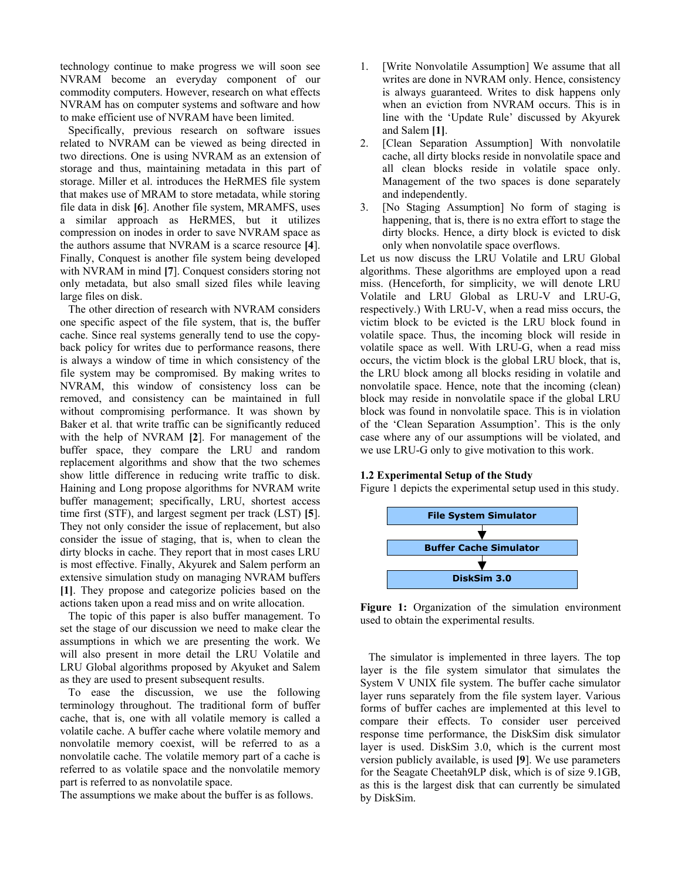technology continue to make progress we will soon see NVRAM become an everyday component of our commodity computers. However, research on what effects NVRAM has on computer systems and software and how to make efficient use of NVRAM have been limited.

Specifically, previous research on software issues related to NVRAM can be viewed as being directed in two directions. One is using NVRAM as an extension of storage and thus, maintaining metadata in this part of storage. Miller et al. introduces the HeRMES file system that makes use of MRAM to store metadata, while storing file data in disk **[6**]. Another file system, MRAMFS, uses a similar approach as HeRMES, but it utilizes compression on inodes in order to save NVRAM space as the authors assume that NVRAM is a scarce resource **[4**]. Finally, Conquest is another file system being developed with NVRAM in mind **[7**]. Conquest considers storing not only metadata, but also small sized files while leaving large files on disk.

The other direction of research with NVRAM considers one specific aspect of the file system, that is, the buffer cache. Since real systems generally tend to use the copyback policy for writes due to performance reasons, there is always a window of time in which consistency of the file system may be compromised. By making writes to NVRAM, this window of consistency loss can be removed, and consistency can be maintained in full without compromising performance. It was shown by Baker et al. that write traffic can be significantly reduced with the help of NVRAM **[2**]. For management of the buffer space, they compare the LRU and random replacement algorithms and show that the two schemes show little difference in reducing write traffic to disk. Haining and Long propose algorithms for NVRAM write buffer management; specifically, LRU, shortest access time first (STF), and largest segment per track (LST) **[5**]. They not only consider the issue of replacement, but also consider the issue of staging, that is, when to clean the dirty blocks in cache. They report that in most cases LRU is most effective. Finally, Akyurek and Salem perform an extensive simulation study on managing NVRAM buffers **[1]**. They propose and categorize policies based on the actions taken upon a read miss and on write allocation.

The topic of this paper is also buffer management. To set the stage of our discussion we need to make clear the assumptions in which we are presenting the work. We will also present in more detail the LRU Volatile and LRU Global algorithms proposed by Akyuket and Salem as they are used to present subsequent results.

To ease the discussion, we use the following terminology throughout. The traditional form of buffer cache, that is, one with all volatile memory is called a volatile cache. A buffer cache where volatile memory and nonvolatile memory coexist, will be referred to as a nonvolatile cache. The volatile memory part of a cache is referred to as volatile space and the nonvolatile memory part is referred to as nonvolatile space.

The assumptions we make about the buffer is as follows.

- 1. [Write Nonvolatile Assumption] We assume that all writes are done in NVRAM only. Hence, consistency is always guaranteed. Writes to disk happens only when an eviction from NVRAM occurs. This is in line with the 'Update Rule' discussed by Akyurek and Salem **[1]**.
- 2. [Clean Separation Assumption] With nonvolatile cache, all dirty blocks reside in nonvolatile space and all clean blocks reside in volatile space only. Management of the two spaces is done separately and independently.
- 3. [No Staging Assumption] No form of staging is happening, that is, there is no extra effort to stage the dirty blocks. Hence, a dirty block is evicted to disk only when nonvolatile space overflows.

Let us now discuss the LRU Volatile and LRU Global algorithms. These algorithms are employed upon a read miss. (Henceforth, for simplicity, we will denote LRU Volatile and LRU Global as LRU-V and LRU-G, respectively.) With LRU-V, when a read miss occurs, the victim block to be evicted is the LRU block found in volatile space. Thus, the incoming block will reside in volatile space as well. With LRU-G, when a read miss occurs, the victim block is the global LRU block, that is, the LRU block among all blocks residing in volatile and nonvolatile space. Hence, note that the incoming (clean) block may reside in nonvolatile space if the global LRU block was found in nonvolatile space. This is in violation of the 'Clean Separation Assumption'. This is the only case where any of our assumptions will be violated, and we use LRU-G only to give motivation to this work.

#### **1.2 Experimental Setup of the Study**

Figure 1 depicts the experimental setup used in this study.



**Figure 1:** Organization of the simulation environment used to obtain the experimental results.

The simulator is implemented in three layers. The top layer is the file system simulator that simulates the System V UNIX file system. The buffer cache simulator layer runs separately from the file system layer. Various forms of buffer caches are implemented at this level to compare their effects. To consider user perceived response time performance, the DiskSim disk simulator layer is used. DiskSim 3.0, which is the current most version publicly available, is used **[9**]. We use parameters for the Seagate Cheetah9LP disk, which is of size 9.1GB, as this is the largest disk that can currently be simulated by DiskSim.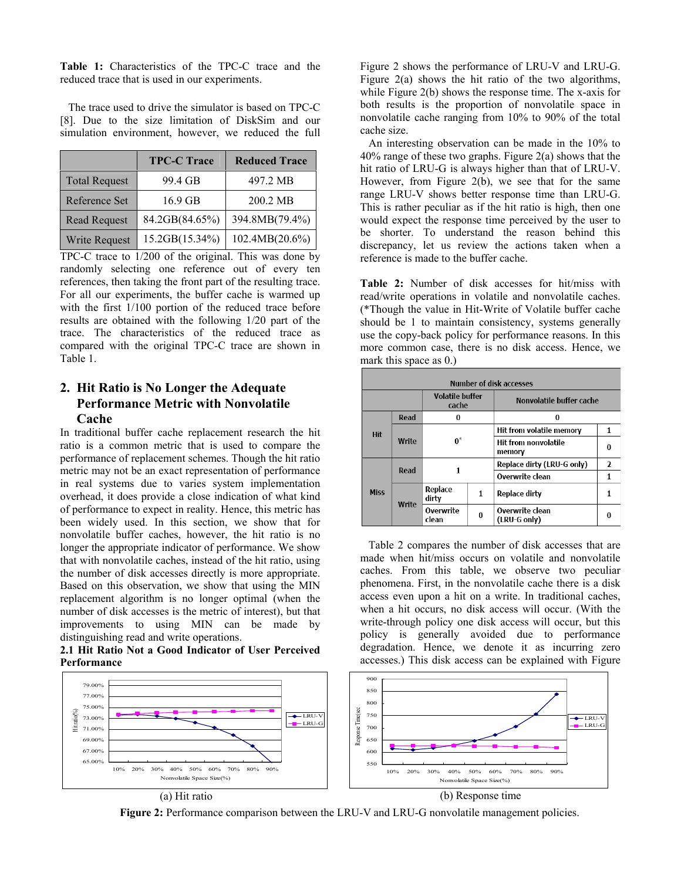**Table 1:** Characteristics of the TPC-C trace and the reduced trace that is used in our experiments.

The trace used to drive the simulator is based on TPC-C [8]. Due to the size limitation of DiskSim and our simulation environment, however, we reduced the full

|                      | <b>TPC-C Trace</b> | <b>Reduced Trace</b> |
|----------------------|--------------------|----------------------|
| <b>Total Request</b> | 99.4 GB            | 497.2 MB             |
| Reference Set        | 16.9 GB            | 200.2 MB             |
| <b>Read Request</b>  | 84.2GB(84.65%)     | 394.8MB(79.4%)       |
| Write Request        | 15.2GB(15.34%)     | 102.4MB(20.6%)       |

TPC-C trace to 1/200 of the original. This was done by randomly selecting one reference out of every ten references, then taking the front part of the resulting trace. For all our experiments, the buffer cache is warmed up with the first 1/100 portion of the reduced trace before results are obtained with the following 1/20 part of the trace. The characteristics of the reduced trace as compared with the original TPC-C trace are shown in Table 1.

## **2. Hit Ratio is No Longer the Adequate Performance Metric with Nonvolatile Cache**

In traditional buffer cache replacement research the hit ratio is a common metric that is used to compare the performance of replacement schemes. Though the hit ratio metric may not be an exact representation of performance in real systems due to varies system implementation overhead, it does provide a close indication of what kind of performance to expect in reality. Hence, this metric has been widely used. In this section, we show that for nonvolatile buffer caches, however, the hit ratio is no longer the appropriate indicator of performance. We show that with nonvolatile caches, instead of the hit ratio, using the number of disk accesses directly is more appropriate. Based on this observation, we show that using the MIN replacement algorithm is no longer optimal (when the number of disk accesses is the metric of interest), but that improvements to using MIN can be made by distinguishing read and write operations.

**2.1 Hit Ratio Not a Good Indicator of User Perceived Performance** 



Figure 2 shows the performance of LRU-V and LRU-G. Figure 2(a) shows the hit ratio of the two algorithms, while Figure 2(b) shows the response time. The x-axis for both results is the proportion of nonvolatile space in nonvolatile cache ranging from 10% to 90% of the total cache size.

An interesting observation can be made in the 10% to 40% range of these two graphs. Figure 2(a) shows that the hit ratio of LRU-G is always higher than that of LRU-V. However, from Figure 2(b), we see that for the same range LRU-V shows better response time than LRU-G. This is rather peculiar as if the hit ratio is high, then one would expect the response time perceived by the user to be shorter. To understand the reason behind this discrepancy, let us review the actions taken when a reference is made to the buffer cache.

**Table 2:** Number of disk accesses for hit/miss with read/write operations in volatile and nonvolatile caches. (\*Though the value in Hit-Write of Volatile buffer cache should be 1 to maintain consistency, systems generally use the copy-back policy for performance reasons. In this more common case, there is no disk access. Hence, we mark this space as 0.)

| <b>Number of disk accesses</b>      |       |                                 |                            |                                 |   |  |  |  |  |
|-------------------------------------|-------|---------------------------------|----------------------------|---------------------------------|---|--|--|--|--|
|                                     |       | <b>Volatile buffer</b><br>cache |                            | Nonvolatile buffer cache        |   |  |  |  |  |
|                                     | Read  | o                               |                            | 0                               |   |  |  |  |  |
| <b>Hit</b>                          | Write | $0^*$                           |                            | Hit from volatile memory        |   |  |  |  |  |
|                                     |       |                                 |                            | Hit from nonvolatile<br>memory  |   |  |  |  |  |
| Read<br><b>Miss</b><br><b>Write</b> | 1     |                                 | Replace dirty (LRU-G only) | λ                               |   |  |  |  |  |
|                                     |       |                                 |                            | Overwrite clean                 | 1 |  |  |  |  |
|                                     |       | Replace<br>dirty                | 1                          | Replace dirty                   | 1 |  |  |  |  |
|                                     |       | Overwrite<br>clean              | 0                          | Overwrite clean<br>(LRU-G only) |   |  |  |  |  |

Table 2 compares the number of disk accesses that are made when hit/miss occurs on volatile and nonvolatile caches. From this table, we observe two peculiar phenomena. First, in the nonvolatile cache there is a disk access even upon a hit on a write. In traditional caches, when a hit occurs, no disk access will occur. (With the write-through policy one disk access will occur, but this policy is generally avoided due to performance degradation. Hence, we denote it as incurring zero accesses.) This disk access can be explained with Figure



**Figure 2:** Performance comparison between the LRU-V and LRU-G nonvolatile management policies.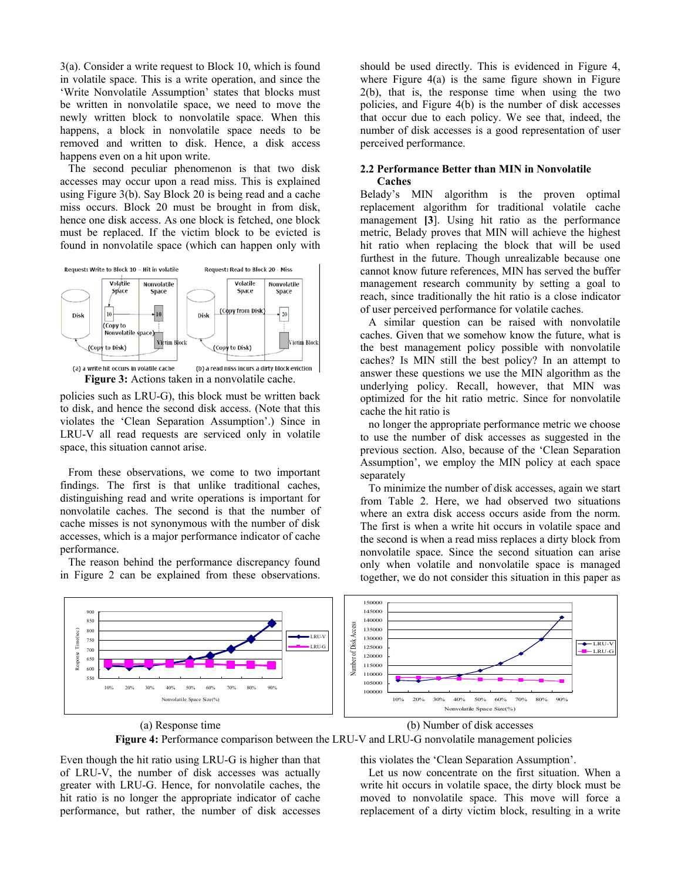3(a). Consider a write request to Block 10, which is found in volatile space. This is a write operation, and since the 'Write Nonvolatile Assumption' states that blocks must be written in nonvolatile space, we need to move the newly written block to nonvolatile space. When this happens, a block in nonvolatile space needs to be removed and written to disk. Hence, a disk access happens even on a hit upon write.

The second peculiar phenomenon is that two disk accesses may occur upon a read miss. This is explained using Figure 3(b). Say Block 20 is being read and a cache miss occurs. Block 20 must be brought in from disk, hence one disk access. As one block is fetched, one block must be replaced. If the victim block to be evicted is found in nonvolatile space (which can happen only with



policies such as LRU-G), this block must be written back to disk, and hence the second disk access. (Note that this violates the 'Clean Separation Assumption'.) Since in LRU-V all read requests are serviced only in volatile space, this situation cannot arise.

From these observations, we come to two important findings. The first is that unlike traditional caches, distinguishing read and write operations is important for nonvolatile caches. The second is that the number of cache misses is not synonymous with the number of disk accesses, which is a major performance indicator of cache performance.

The reason behind the performance discrepancy found in Figure 2 can be explained from these observations.

should be used directly. This is evidenced in Figure 4, where Figure  $4(a)$  is the same figure shown in Figure 2(b), that is, the response time when using the two policies, and Figure 4(b) is the number of disk accesses that occur due to each policy. We see that, indeed, the number of disk accesses is a good representation of user perceived performance.

#### **2.2 Performance Better than MIN in Nonvolatile Caches**

Belady's MIN algorithm is the proven optimal replacement algorithm for traditional volatile cache management **[3**]. Using hit ratio as the performance metric, Belady proves that MIN will achieve the highest hit ratio when replacing the block that will be used furthest in the future. Though unrealizable because one cannot know future references, MIN has served the buffer management research community by setting a goal to reach, since traditionally the hit ratio is a close indicator of user perceived performance for volatile caches.

A similar question can be raised with nonvolatile caches. Given that we somehow know the future, what is the best management policy possible with nonvolatile caches? Is MIN still the best policy? In an attempt to answer these questions we use the MIN algorithm as the underlying policy. Recall, however, that MIN was optimized for the hit ratio metric. Since for nonvolatile cache the hit ratio is

no longer the appropriate performance metric we choose to use the number of disk accesses as suggested in the previous section. Also, because of the 'Clean Separation Assumption', we employ the MIN policy at each space separately

To minimize the number of disk accesses, again we start from Table 2. Here, we had observed two situations where an extra disk access occurs aside from the norm. The first is when a write hit occurs in volatile space and the second is when a read miss replaces a dirty block from nonvolatile space. Since the second situation can arise only when volatile and nonvolatile space is managed together, we do not consider this situation in this paper as



**Figure 4:** Performance comparison between the LRU-V and LRU-G nonvolatile management policies

Even though the hit ratio using LRU-G is higher than that of LRU-V, the number of disk accesses was actually greater with LRU-G. Hence, for nonvolatile caches, the hit ratio is no longer the appropriate indicator of cache performance, but rather, the number of disk accesses

this violates the 'Clean Separation Assumption'.

Let us now concentrate on the first situation. When a write hit occurs in volatile space, the dirty block must be moved to nonvolatile space. This move will force a replacement of a dirty victim block, resulting in a write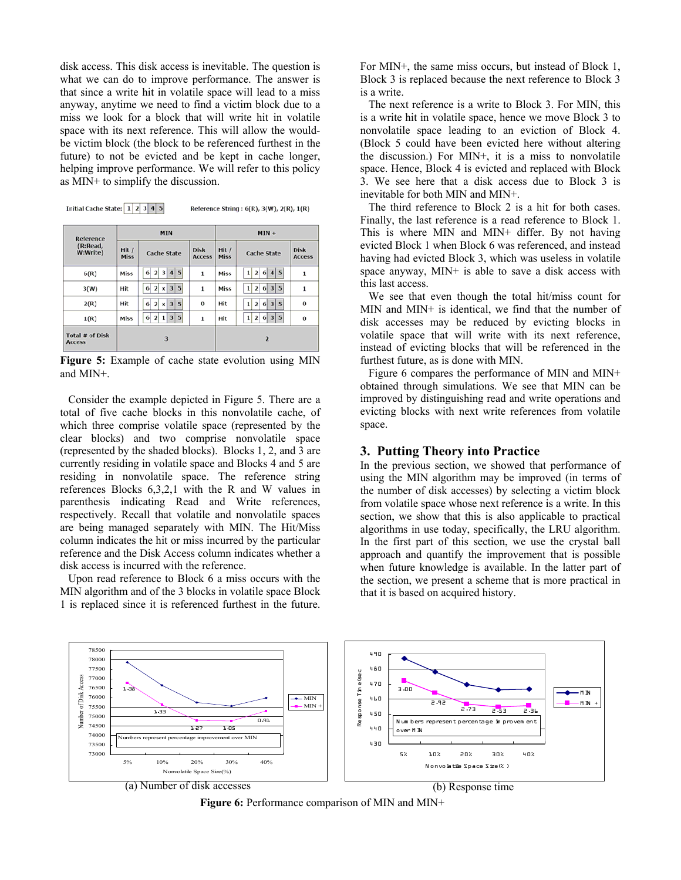disk access. This disk access is inevitable. The question is what we can do to improve performance. The answer is that since a write hit in volatile space will lead to a miss anyway, anytime we need to find a victim block due to a miss we look for a block that will write hit in volatile space with its next reference. This will allow the wouldbe victim block (the block to be referenced furthest in the future) to not be evicted and be kept in cache longer, helping improve performance. We will refer to this policy as MIN+ to simplify the discussion.

|                                   | <b>MIN</b>           |                                                      |                              | Reference String: $6(R)$ , $3(W)$ , $2(R)$ , $1(R)$<br>$MIN +$ |                                                                      |                              |
|-----------------------------------|----------------------|------------------------------------------------------|------------------------------|----------------------------------------------------------------|----------------------------------------------------------------------|------------------------------|
| Reference<br>(R:Read,<br>W:Write) | Hit /<br><b>Miss</b> | <b>Cache State</b>                                   | <b>Disk</b><br><b>Access</b> | Hit /<br><b>Miss</b>                                           | <b>Cache State</b>                                                   | <b>Disk</b><br><b>Access</b> |
| 6(R)                              | Miss                 | 4 5<br>6<br>$\overline{2}$<br>$\overline{3}$         | 1                            | Miss                                                           | 5<br>6 <sup>1</sup><br>$\overline{2}$<br>$\vert$<br>1                | 1                            |
| 3(W)                              | Hit                  | 3 5<br>$\overline{2}$<br>6<br>x                      | $\mathbf{1}$                 | Miss                                                           | 6 3 5<br>$\overline{2}$<br>1                                         | $\mathbf{1}$                 |
| 2(R)                              | Hit                  | x 3 5<br>$\mathbf{2}$<br>6                           | $\bf{o}$                     | Hit                                                            | 6 3 5<br>$\overline{2}$<br>1                                         | $\bf{0}$                     |
| 1(R)                              | Miss                 | 5<br>$\mathbf{2}$<br>6<br>3 <sup>1</sup><br>$1\vert$ | 1                            | Hit                                                            | 5<br>3 <sup>1</sup><br>$\overline{2}$<br>6 <sup>1</sup><br>${\bf 1}$ | $\bf{0}$                     |
| Total # of Disk<br><b>Access</b>  |                      | 3                                                    |                              |                                                                | $\overline{2}$                                                       |                              |

**Figure 5:** Example of cache state evolution using MIN and MIN+.

Consider the example depicted in Figure 5. There are a total of five cache blocks in this nonvolatile cache, of which three comprise volatile space (represented by the clear blocks) and two comprise nonvolatile space (represented by the shaded blocks). Blocks 1, 2, and 3 are currently residing in volatile space and Blocks 4 and 5 are residing in nonvolatile space. The reference string references Blocks 6,3,2,1 with the R and W values in parenthesis indicating Read and Write references, respectively. Recall that volatile and nonvolatile spaces are being managed separately with MIN. The Hit/Miss column indicates the hit or miss incurred by the particular reference and the Disk Access column indicates whether a disk access is incurred with the reference.

Upon read reference to Block 6 a miss occurs with the MIN algorithm and of the 3 blocks in volatile space Block 1 is replaced since it is referenced furthest in the future.

For MIN+, the same miss occurs, but instead of Block 1, Block 3 is replaced because the next reference to Block 3 is a write.

The next reference is a write to Block 3. For MIN, this is a write hit in volatile space, hence we move Block 3 to nonvolatile space leading to an eviction of Block 4. (Block 5 could have been evicted here without altering the discussion.) For MIN+, it is a miss to nonvolatile space. Hence, Block 4 is evicted and replaced with Block 3. We see here that a disk access due to Block 3 is inevitable for both MIN and MIN+.

The third reference to Block 2 is a hit for both cases. Finally, the last reference is a read reference to Block 1. This is where MIN and MIN+ differ. By not having evicted Block 1 when Block 6 was referenced, and instead having had evicted Block 3, which was useless in volatile space anyway, MIN+ is able to save a disk access with this last access.

We see that even though the total hit/miss count for MIN and MIN+ is identical, we find that the number of disk accesses may be reduced by evicting blocks in volatile space that will write with its next reference, instead of evicting blocks that will be referenced in the furthest future, as is done with MIN.

Figure 6 compares the performance of MIN and MIN+ obtained through simulations. We see that MIN can be improved by distinguishing read and write operations and evicting blocks with next write references from volatile space.

### **3. Putting Theory into Practice**

In the previous section, we showed that performance of using the MIN algorithm may be improved (in terms of the number of disk accesses) by selecting a victim block from volatile space whose next reference is a write. In this section, we show that this is also applicable to practical algorithms in use today, specifically, the LRU algorithm. In the first part of this section, we use the crystal ball approach and quantify the improvement that is possible when future knowledge is available. In the latter part of the section, we present a scheme that is more practical in that it is based on acquired history.



**Figure 6:** Performance comparison of MIN and MIN+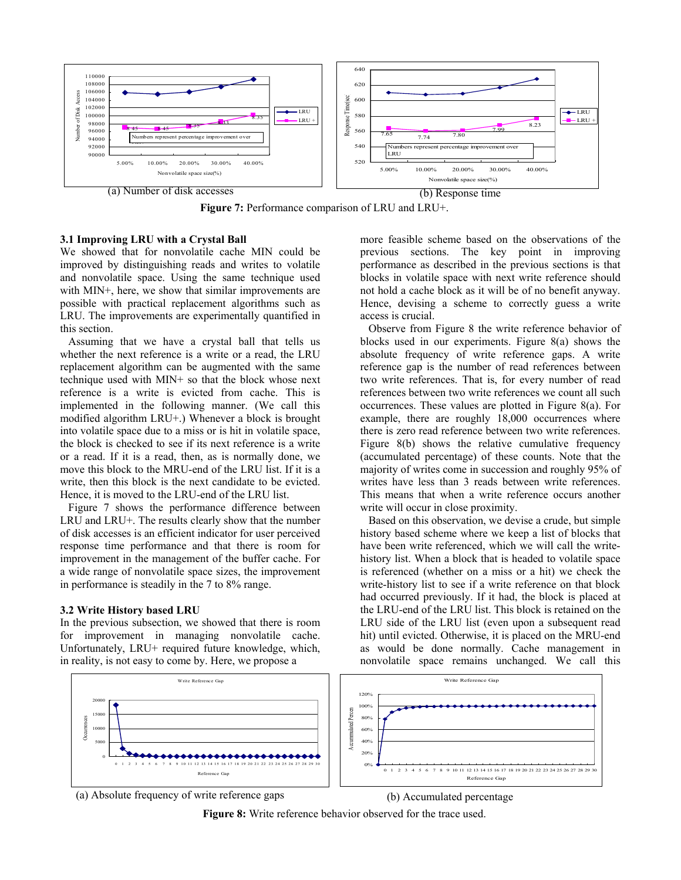

**Figure 7:** Performance comparison of LRU and LRU+.

### **3.1 Improving LRU with a Crystal Ball**

We showed that for nonvolatile cache MIN could be improved by distinguishing reads and writes to volatile and nonvolatile space. Using the same technique used with MIN+, here, we show that similar improvements are possible with practical replacement algorithms such as LRU. The improvements are experimentally quantified in this section.

Assuming that we have a crystal ball that tells us whether the next reference is a write or a read, the LRU replacement algorithm can be augmented with the same technique used with MIN+ so that the block whose next reference is a write is evicted from cache. This is implemented in the following manner. (We call this modified algorithm LRU+.) Whenever a block is brought into volatile space due to a miss or is hit in volatile space, the block is checked to see if its next reference is a write or a read. If it is a read, then, as is normally done, we move this block to the MRU-end of the LRU list. If it is a write, then this block is the next candidate to be evicted. Hence, it is moved to the LRU-end of the LRU list.

Figure 7 shows the performance difference between LRU and LRU+. The results clearly show that the number of disk accesses is an efficient indicator for user perceived response time performance and that there is room for improvement in the management of the buffer cache. For a wide range of nonvolatile space sizes, the improvement in performance is steadily in the 7 to 8% range.

#### **3.2 Write History based LRU**

In the previous subsection, we showed that there is room for improvement in managing nonvolatile cache. Unfortunately, LRU+ required future knowledge, which, in reality, is not easy to come by. Here, we propose a

more feasible scheme based on the observations of the previous sections. The key point in improving performance as described in the previous sections is that blocks in volatile space with next write reference should not hold a cache block as it will be of no benefit anyway. Hence, devising a scheme to correctly guess a write access is crucial.

Observe from Figure 8 the write reference behavior of blocks used in our experiments. Figure 8(a) shows the absolute frequency of write reference gaps. A write reference gap is the number of read references between two write references. That is, for every number of read references between two write references we count all such occurrences. These values are plotted in Figure 8(a). For example, there are roughly 18,000 occurrences where there is zero read reference between two write references. Figure 8(b) shows the relative cumulative frequency (accumulated percentage) of these counts. Note that the majority of writes come in succession and roughly 95% of writes have less than 3 reads between write references. This means that when a write reference occurs another write will occur in close proximity.

Based on this observation, we devise a crude, but simple history based scheme where we keep a list of blocks that have been write referenced, which we will call the writehistory list. When a block that is headed to volatile space is referenced (whether on a miss or a hit) we check the write-history list to see if a write reference on that block had occurred previously. If it had, the block is placed at the LRU-end of the LRU list. This block is retained on the LRU side of the LRU list (even upon a subsequent read hit) until evicted. Otherwise, it is placed on the MRU-end as would be done normally. Cache management in nonvolatile space remains unchanged. We call this



(a) Absolute frequency of write reference gaps (b) Accumulated percentage

**Figure 8:** Write reference behavior observed for the trace used.